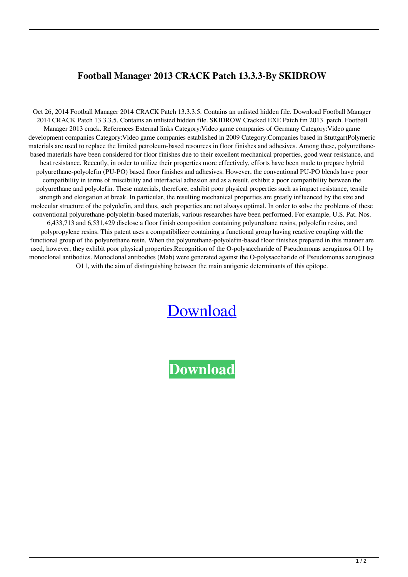## **Football Manager 2013 CRACK Patch 13.3.3-By SKIDROW**

Oct 26, 2014 Football Manager 2014 CRACK Patch 13.3.3.5. Contains an unlisted hidden file. Download Football Manager 2014 CRACK Patch 13.3.3.5. Contains an unlisted hidden file. SKIDROW Cracked EXE Patch fm 2013. patch. Football Manager 2013 crack. References External links Category:Video game companies of Germany Category:Video game development companies Category:Video game companies established in 2009 Category:Companies based in StuttgartPolymeric materials are used to replace the limited petroleum-based resources in floor finishes and adhesives. Among these, polyurethanebased materials have been considered for floor finishes due to their excellent mechanical properties, good wear resistance, and heat resistance. Recently, in order to utilize their properties more effectively, efforts have been made to prepare hybrid polyurethane-polyolefin (PU-PO) based floor finishes and adhesives. However, the conventional PU-PO blends have poor compatibility in terms of miscibility and interfacial adhesion and as a result, exhibit a poor compatibility between the polyurethane and polyolefin. These materials, therefore, exhibit poor physical properties such as impact resistance, tensile strength and elongation at break. In particular, the resulting mechanical properties are greatly influenced by the size and molecular structure of the polyolefin, and thus, such properties are not always optimal. In order to solve the problems of these conventional polyurethane-polyolefin-based materials, various researches have been performed. For example, U.S. Pat. Nos. 6,433,713 and 6,531,429 disclose a floor finish composition containing polyurethane resins, polyolefin resins, and polypropylene resins. This patent uses a compatibilizer containing a functional group having reactive coupling with the functional group of the polyurethane resin. When the polyurethane-polyolefin-based floor finishes prepared in this manner are used, however, they exhibit poor physical properties.Recognition of the O-polysaccharide of Pseudomonas aeruginosa O11 by monoclonal antibodies. Monoclonal antibodies (Mab) were generated against the O-polysaccharide of Pseudomonas aeruginosa O11, with the aim of distinguishing between the main antigenic determinants of this epitope.

## [Download](http://evacdir.com/habitually/designing.Rm9vdGJhbGwgTWFuYWdlciAyMDEzIENSQUNLIFBhdGNoIDEzLjMuMy1CeSBTS0lEUk9XRm9/realizethat/eves/heatstoke/monolingual/ZG93bmxvYWR8OGNhTW5FNFpIeDhNVFkxTkRNME5EZzROSHg4TWpVNU1IeDhLRTBwSUZkdmNtUndjbVZ6Y3lCYldFMU1VbEJESUZZeUlGQkVSbDA/splits)

**[Download](http://evacdir.com/habitually/designing.Rm9vdGJhbGwgTWFuYWdlciAyMDEzIENSQUNLIFBhdGNoIDEzLjMuMy1CeSBTS0lEUk9XRm9/realizethat/eves/heatstoke/monolingual/ZG93bmxvYWR8OGNhTW5FNFpIeDhNVFkxTkRNME5EZzROSHg4TWpVNU1IeDhLRTBwSUZkdmNtUndjbVZ6Y3lCYldFMU1VbEJESUZZeUlGQkVSbDA/splits)**